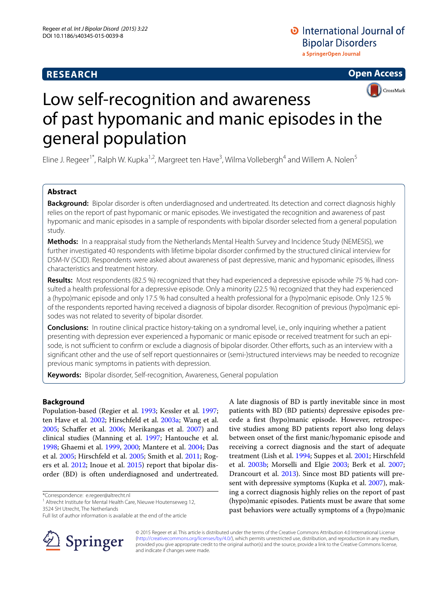# **RESEARCH**



# Low self-recognition and awareness of past hypomanic and manic episodes in the general population

Eline J. Regeer<sup>1\*</sup>, Ralph W. Kupka<sup>1,2</sup>, Margreet ten Have<sup>3</sup>, Wilma Vollebergh<sup>4</sup> and Willem A. Nolen<sup>5</sup>

# **Abstract**

**Background:** Bipolar disorder is often underdiagnosed and undertreated. Its detection and correct diagnosis highly relies on the report of past hypomanic or manic episodes. We investigated the recognition and awareness of past hypomanic and manic episodes in a sample of respondents with bipolar disorder selected from a general population study.

**Methods:** In a reappraisal study from the Netherlands Mental Health Survey and Incidence Study (NEMESIS), we further investigated 40 respondents with lifetime bipolar disorder confirmed by the structured clinical interview for DSM-IV (SCID). Respondents were asked about awareness of past depressive, manic and hypomanic episodes, illness characteristics and treatment history.

**Results:** Most respondents (82.5 %) recognized that they had experienced a depressive episode while 75 % had consulted a health professional for a depressive episode. Only a minority (22.5 %) recognized that they had experienced a (hypo)manic episode and only 17.5 % had consulted a health professional for a (hypo)manic episode. Only 12.5 % of the respondents reported having received a diagnosis of bipolar disorder. Recognition of previous (hypo)manic episodes was not related to severity of bipolar disorder.

**Conclusions:** In routine clinical practice history-taking on a syndromal level, i.e., only inquiring whether a patient presenting with depression ever experienced a hypomanic or manic episode or received treatment for such an episode, is not sufficient to confirm or exclude a diagnosis of bipolar disorder. Other efforts, such as an interview with a significant other and the use of self report questionnaires or (semi-)structured interviews may be needed to recognize previous manic symptoms in patients with depression.

**Keywords:** Bipolar disorder, Self-recognition, Awareness, General population

## **Background**

Population-based (Regier et al. [1993](#page-6-0); Kessler et al. [1997](#page-6-1); ten Have et al. [2002;](#page-6-2) Hirschfeld et al. [2003a](#page-6-3); Wang et al. [2005](#page-6-4); Schaffer et al. [2006;](#page-6-5) Merikangas et al. [2007](#page-6-6)) and clinical studies (Manning et al. [1997](#page-6-7); Hantouche et al. [1998](#page-6-8); Ghaemi et al. [1999](#page-6-9), [2000](#page-6-10); Mantere et al. [2004;](#page-6-11) Das et al. [2005;](#page-6-12) Hirschfeld et al. [2005;](#page-6-13) Smith et al. [2011;](#page-6-14) Rogers et al. [2012](#page-6-15); Inoue et al. [2015\)](#page-6-16) report that bipolar disorder (BD) is often underdiagnosed and undertreated.

\*Correspondence: e.regeer@altrecht.nl

<sup>1</sup> Altrecht Institute for Mental Health Care, Nieuwe Houtenseweg 12, 3524 SH Utrecht, The Netherlands

Full list of author information is available at the end of the article



A late diagnosis of BD is partly inevitable since in most patients with BD (BD patients) depressive episodes precede a first (hypo)manic episode. However, retrospective studies among BD patients report also long delays between onset of the first manic/hypomanic episode and receiving a correct diagnosis and the start of adequate treatment (Lish et al. [1994;](#page-6-17) Suppes et al. [2001](#page-6-18); Hirschfeld et al. [2003b;](#page-6-19) Morselli and Elgie [2003](#page-6-20); Berk et al. [2007](#page-6-21); Drancourt et al. [2013\)](#page-6-22). Since most BD patients will present with depressive symptoms (Kupka et al. [2007\)](#page-6-23), making a correct diagnosis highly relies on the report of past (hypo)manic episodes. Patients must be aware that some past behaviors were actually symptoms of a (hypo)manic

© 2015 Regeer et al. This article is distributed under the terms of the Creative Commons Attribution 4.0 International License [\(http://creativecommons.org/licenses/by/4.0/\)](http://creativecommons.org/licenses/by/4.0/), which permits unrestricted use, distribution, and reproduction in any medium, provided you give appropriate credit to the original author(s) and the source, provide a link to the Creative Commons license, and indicate if changes were made.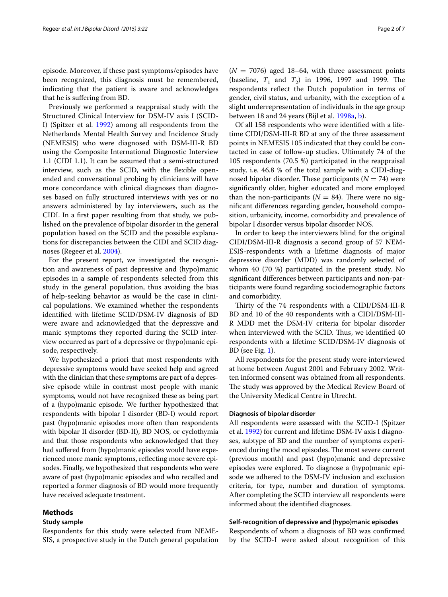episode. Moreover, if these past symptoms/episodes have been recognized, this diagnosis must be remembered, indicating that the patient is aware and acknowledges that he is suffering from BD.

Previously we performed a reappraisal study with the Structured Clinical Interview for DSM-IV axis I (SCID-I) (Spitzer et al. [1992](#page-6-24)) among all respondents from the Netherlands Mental Health Survey and Incidence Study (NEMESIS) who were diagnosed with DSM-III-R BD using the Composite International Diagnostic Interview 1.1 (CIDI 1.1). It can be assumed that a semi-structured interview, such as the SCID, with the flexible openended and conversational probing by clinicians will have more concordance with clinical diagnoses than diagnoses based on fully structured interviews with yes or no answers administered by lay interviewers, such as the CIDI. In a first paper resulting from that study, we published on the prevalence of bipolar disorder in the general population based on the SCID and the possible explanations for discrepancies between the CIDI and SCID diagnoses (Regeer et al. [2004\)](#page-6-25).

For the present report, we investigated the recognition and awareness of past depressive and (hypo)manic episodes in a sample of respondents selected from this study in the general population, thus avoiding the bias of help-seeking behavior as would be the case in clinical populations. We examined whether the respondents identified with lifetime SCID/DSM-IV diagnosis of BD were aware and acknowledged that the depressive and manic symptoms they reported during the SCID interview occurred as part of a depressive or (hypo)manic episode, respectively.

We hypothesized a priori that most respondents with depressive symptoms would have seeked help and agreed with the clinician that these symptoms are part of a depressive episode while in contrast most people with manic symptoms, would not have recognized these as being part of a (hypo)manic episode. We further hypothesized that respondents with bipolar I disorder (BD-I) would report past (hypo)manic episodes more often than respondents with bipolar II disorder (BD-II), BD NOS, or cyclothymia and that those respondents who acknowledged that they had suffered from (hypo)manic episodes would have experienced more manic symptoms, reflecting more severe episodes. Finally, we hypothesized that respondents who were aware of past (hypo)manic episodes and who recalled and reported a former diagnosis of BD would more frequently have received adequate treatment.

### **Methods**

#### **Study sample**

Respondents for this study were selected from NEME-SIS, a prospective study in the Dutch general population

 $(N = 7076)$  aged 18–64, with three assessment points (baseline,  $T_1$  and  $T_2$ ) in 1996, 1997 and 1999. The respondents reflect the Dutch population in terms of gender, civil status, and urbanity, with the exception of a slight underrepresentation of individuals in the age group between 18 and 24 years (Bijl et al. [1998a,](#page-6-26) [b](#page-6-27)).

Of all 158 respondents who were identified with a lifetime CIDI/DSM-III-R BD at any of the three assessment points in NEMESIS 105 indicated that they could be contacted in case of follow-up studies. Ultimately 74 of the 105 respondents (70.5 %) participated in the reappraisal study, i.e. 46.8 % of the total sample with a CIDI-diagnosed bipolar disorder. These participants  $(N = 74)$  were significantly older, higher educated and more employed than the non-participants ( $N = 84$ ). There were no significant differences regarding gender, household composition, urbanicity, income, comorbidity and prevalence of bipolar I disorder versus bipolar disorder NOS.

In order to keep the interviewers blind for the original CIDI/DSM-III-R diagnosis a second group of 57 NEM-ESIS-respondents with a lifetime diagnosis of major depressive disorder (MDD) was randomly selected of whom 40 (70 %) participated in the present study. No significant differences between participants and non-participants were found regarding sociodemographic factors and comorbidity.

Thirty of the 74 respondents with a CIDI/DSM-III-R BD and 10 of the 40 respondents with a CIDI/DSM-III-R MDD met the DSM-IV criteria for bipolar disorder when interviewed with the SCID. Thus, we identified 40 respondents with a lifetime SCID/DSM-IV diagnosis of BD (see Fig. [1\)](#page-2-0).

All respondents for the present study were interviewed at home between August 2001 and February 2002. Written informed consent was obtained from all respondents. The study was approved by the Medical Review Board of the University Medical Centre in Utrecht.

## **Diagnosis of bipolar disorder**

All respondents were assessed with the SCID-I (Spitzer et al. [1992](#page-6-24)) for current and lifetime DSM-IV axis I diagnoses, subtype of BD and the number of symptoms experienced during the mood episodes. The most severe current (previous month) and past (hypo)manic and depressive episodes were explored. To diagnose a (hypo)manic episode we adhered to the DSM-IV inclusion and exclusion criteria, for type, number and duration of symptoms. After completing the SCID interview all respondents were informed about the identified diagnoses.

### **Self‑recognition of depressive and (hypo)manic episodes**

Respondents of whom a diagnosis of BD was confirmed by the SCID-I were asked about recognition of this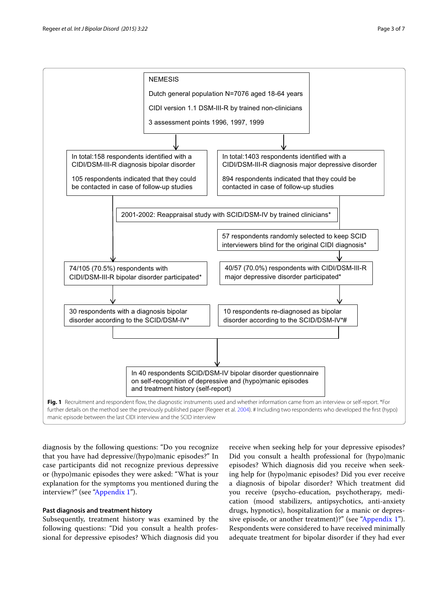

<span id="page-2-0"></span>diagnosis by the following questions: "Do you recognize that you have had depressive/(hypo)manic episodes?" In case participants did not recognize previous depressive or (hypo)manic episodes they were asked: "What is your explanation for the symptoms you mentioned during the interview?" (see ["Appendix 1](#page-5-0)").

## **Past diagnosis and treatment history**

Subsequently, treatment history was examined by the following questions: "Did you consult a health professional for depressive episodes? Which diagnosis did you

receive when seeking help for your depressive episodes? Did you consult a health professional for (hypo)manic episodes? Which diagnosis did you receive when seeking help for (hypo)manic episodes? Did you ever receive a diagnosis of bipolar disorder? Which treatment did you receive (psycho-education, psychotherapy, medication (mood stabilizers, antipsychotics, anti-anxiety drugs, hypnotics), hospitalization for a manic or depressive episode, or another treatment)?" (see ["Appendix 1"](#page-5-0)). Respondents were considered to have received minimally adequate treatment for bipolar disorder if they had ever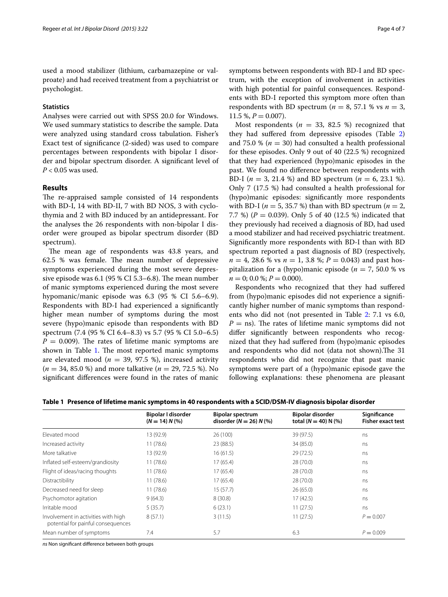used a mood stabilizer (lithium, carbamazepine or valproate) and had received treatment from a psychiatrist or psychologist.

#### **Statistics**

Analyses were carried out with SPSS 20.0 for Windows. We used summary statistics to describe the sample. Data were analyzed using standard cross tabulation. Fisher's Exact test of significance (2-sided) was used to compare percentages between respondents with bipolar I disorder and bipolar spectrum disorder. A significant level of *P* < 0.05 was used.

## **Results**

The re-appraised sample consisted of 14 respondents with BD-I, 14 with BD-II, 7 with BD NOS, 3 with cyclothymia and 2 with BD induced by an antidepressant. For the analyses the 26 respondents with non-bipolar I disorder were grouped as bipolar spectrum disorder (BD spectrum).

The mean age of respondents was 43.8 years, and 62.5 % was female. The mean number of depressive symptoms experienced during the most severe depressive episode was 6.1 (95 % CI 5.3–6.8). The mean number of manic symptoms experienced during the most severe hypomanic/manic episode was 6.3 (95 % CI 5.6–6.9). Respondents with BD-I had experienced a significantly higher mean number of symptoms during the most severe (hypo)manic episode than respondents with BD spectrum (7.4 (95 % CI 6.4–8.3) vs 5.7 (95 % CI 5.0–6.5)  $P = 0.009$ . The rates of lifetime manic symptoms are shown in Table [1](#page-3-0). The most reported manic symptoms are elevated mood ( $n = 39, 97.5$  %), increased activity (*n* = 34, 85.0 %) and more talkative (*n* = 29, 72.5 %). No significant differences were found in the rates of manic

symptoms between respondents with BD-I and BD spectrum, with the exception of involvement in activities with high potential for painful consequences. Respondents with BD-I reported this symptom more often than respondents with BD spectrum ( $n = 8$ , 57.1 % vs  $n = 3$ ,  $11.5 %$ ,  $P = 0.007$ ).

Most respondents ( $n = 33, 82.5$  %) recognized that they had suffered from depressive episodes (Table [2](#page-4-0)) and 75.0 % ( $n = 30$ ) had consulted a health professional for these episodes. Only 9 out of 40 (22.5 %) recognized that they had experienced (hypo)manic episodes in the past. We found no difference between respondents with BD-I ( $n = 3$ , 21.4 %) and BD spectrum ( $n = 6$ , 23.1 %). Only 7 (17.5 %) had consulted a health professional for (hypo)manic episodes: significantly more respondents with BD-I ( $n = 5$ , 35.7 %) than with BD spectrum ( $n = 2$ , 7.7 %) (*P* = 0.039). Only 5 of 40 (12.5 %) indicated that they previously had received a diagnosis of BD, had used a mood stabilizer and had received psychiatric treatment. Significantly more respondents with BD-I than with BD spectrum reported a past diagnosis of BD (respectively,  $n = 4$ , 28.6 % vs  $n = 1$ , 3.8 %;  $P = 0.043$ ) and past hospitalization for a (hypo)manic episode ( $n = 7$ , 50.0 % vs  $n = 0$ ; 0.0 %;  $P = 0.000$ ).

Respondents who recognized that they had suffered from (hypo)manic episodes did not experience a significantly higher number of manic symptoms than respond-ents who did not (not presented in Table [2:](#page-4-0) 7.1 vs 6.0,  $P =$  ns). The rates of lifetime manic symptoms did not differ significantly between respondents who recognized that they had suffered from (hypo)manic episodes and respondents who did not (data not shown).The 31 respondents who did not recognize that past manic symptoms were part of a (hypo)manic episode gave the following explanations: these phenomena are pleasant

<span id="page-3-0"></span>

|  |  | Table 1 Presence of lifetime manic symptoms in 40 respondents with a SCID/DSM-IV diagnosis bipolar disorder |
|--|--|-------------------------------------------------------------------------------------------------------------|
|  |  |                                                                                                             |

|                                                                           | Bipolar I disorder<br>$(N = 14) N$ (%) | <b>Bipolar spectrum</b><br>disorder $(N = 26) N$ (%) | <b>Bipolar disorder</b><br>total $(N = 40) N$ (%) | Significance<br><b>Fisher exact test</b> |
|---------------------------------------------------------------------------|----------------------------------------|------------------------------------------------------|---------------------------------------------------|------------------------------------------|
| Flevated mood                                                             | 13 (92.9)                              | 26 (100)                                             | 39 (97.5)                                         | ns                                       |
| Increased activity                                                        | 11(78.6)                               | 23 (88.5)                                            | 34 (85.0)                                         | ns                                       |
| More talkative                                                            | 13 (92.9)                              | 16(61.5)                                             | 29 (72.5)                                         | ns                                       |
| Inflated self-esteem/grandiosity                                          | 11(78.6)                               | 17(65.4)                                             | 28 (70.0)                                         | ns                                       |
| Flight of ideas/racing thoughts                                           | 11(78.6)                               | 17(65.4)                                             | 28 (70.0)                                         | ns                                       |
| Distractibility                                                           | 11(78.6)                               | 17(65.4)                                             | 28 (70.0)                                         | ns                                       |
| Decreased need for sleep                                                  | 11(78.6)                               | 15(57.7)                                             | 26(65.0)                                          | ns                                       |
| Psychomotor agitation                                                     | 9(64.3)                                | 8(30.8)                                              | 17(42.5)                                          | ns                                       |
| Irritable mood                                                            | 5(35.7)                                | 6(23.1)                                              | 11(27.5)                                          | ns                                       |
| Involvement in activities with high<br>potential for painful consequences | 8(57.1)                                | 3(11.5)                                              | 11(27.5)                                          | $P = 0.007$                              |
| Mean number of symptoms                                                   | 7.4                                    | 5.7                                                  | 6.3                                               | $P = 0.009$                              |

*ns* Non significant difference between both groups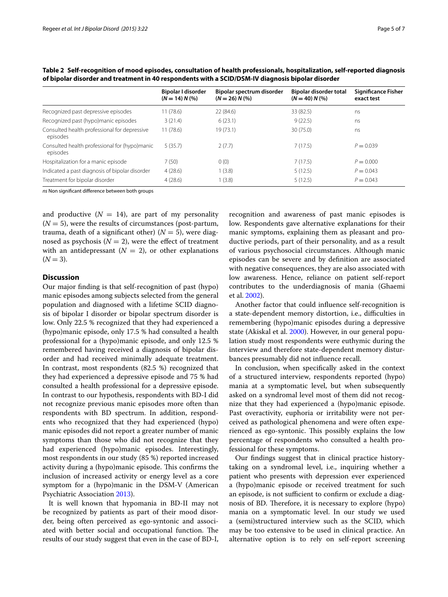|                                                           | Bipolar I disorder<br>$(N = 14) N$ (%) | Bipolar spectrum disorder<br>$(N = 26) N$ (%) | Bipolar disorder total<br>$(N = 40) N (%)$ | <b>Significance Fisher</b><br>exact test |
|-----------------------------------------------------------|----------------------------------------|-----------------------------------------------|--------------------------------------------|------------------------------------------|
| Recognized past depressive episodes                       | 11(78.6)                               | 22 (84.6)                                     | 33 (82.5)                                  | ns                                       |
| Recognized past (hypo)manic episodes                      | 3(21.4)                                | 6(23.1)                                       | 9(22.5)                                    | ns                                       |
| Consulted health professional for depressive<br>episodes  | 11(78.6)                               | 19(73.1)                                      | 30 (75.0)                                  | ns                                       |
| Consulted health professional for (hypo)manic<br>episodes | 5(35.7)                                | 2(7.7)                                        | 7(17.5)                                    | $P = 0.039$                              |
| Hospitalization for a manic episode                       | 7(50)                                  | 0(0)                                          | 7(17.5)                                    | $P = 0.000$                              |
| Indicated a past diagnosis of bipolar disorder            | 4(28.6)                                | 1(3.8)                                        | 5(12.5)                                    | $P = 0.043$                              |
| Treatment for bipolar disorder                            | 4(28.6)                                | 1(3.8)                                        | 5(12.5)                                    | $P = 0.043$                              |

<span id="page-4-0"></span>**Table 2 Self-recognition of mood episodes, consultation of health professionals, hospitalization, self-reported diagnosis of bipolar disorder and treatment in 40 respondents with a SCID/DSM-IV diagnosis bipolar disorder**

*ns* Non significant difference between both groups

and productive  $(N = 14)$ , are part of my personality  $(N = 5)$ , were the results of circumstances (post-partum, trauma, death of a significant other)  $(N = 5)$ , were diagnosed as psychosis  $(N = 2)$ , were the effect of treatment with an antidepressant  $(N = 2)$ , or other explanations  $(N = 3)$ .

#### **Discussion**

Our major finding is that self-recognition of past (hypo) manic episodes among subjects selected from the general population and diagnosed with a lifetime SCID diagnosis of bipolar I disorder or bipolar spectrum disorder is low. Only 22.5 % recognized that they had experienced a (hypo)manic episode, only 17.5 % had consulted a health professional for a (hypo)manic episode, and only 12.5 % remembered having received a diagnosis of bipolar disorder and had received minimally adequate treatment. In contrast, most respondents (82.5 %) recognized that they had experienced a depressive episode and 75 % had consulted a health professional for a depressive episode. In contrast to our hypothesis, respondents with BD-I did not recognize previous manic episodes more often than respondents with BD spectrum. In addition, respondents who recognized that they had experienced (hypo) manic episodes did not report a greater number of manic symptoms than those who did not recognize that they had experienced (hypo)manic episodes. Interestingly, most respondents in our study (85 %) reported increased activity during a (hypo)manic episode. This confirms the inclusion of increased activity or energy level as a core symptom for a (hypo)manic in the DSM-V (American Psychiatric Association [2013\)](#page-5-1).

It is well known that hypomania in BD-II may not be recognized by patients as part of their mood disorder, being often perceived as ego-syntonic and associated with better social and occupational function. The results of our study suggest that even in the case of BD-I, recognition and awareness of past manic episodes is low. Respondents gave alternative explanations for their manic symptoms, explaining them as pleasant and productive periods, part of their personality, and as a result of various psychosocial circumstances. Although manic episodes can be severe and by definition are associated with negative consequences, they are also associated with low awareness. Hence, reliance on patient self-report contributes to the underdiagnosis of mania (Ghaemi et al. [2002](#page-6-28)).

Another factor that could influence self-recognition is a state-dependent memory distortion, i.e., difficulties in remembering (hypo)manic episodes during a depressive state (Akiskal et al. [2000\)](#page-5-2). However, in our general population study most respondents were euthymic during the interview and therefore state-dependent memory disturbances presumably did not influence recall.

In conclusion, when specifically asked in the context of a structured interview, respondents reported (hypo) mania at a symptomatic level, but when subsequently asked on a syndromal level most of them did not recognize that they had experienced a (hypo)manic episode. Past overactivity, euphoria or irritability were not perceived as pathological phenomena and were often experienced as ego-syntonic. This possibly explains the low percentage of respondents who consulted a health professional for these symptoms.

Our findings suggest that in clinical practice historytaking on a syndromal level, i.e., inquiring whether a patient who presents with depression ever experienced a (hypo)manic episode or received treatment for such an episode, is not sufficient to confirm or exclude a diagnosis of BD. Therefore, it is necessary to explore (hypo) mania on a symptomatic level. In our study we used a (semi)structured interview such as the SCID, which may be too extensive to be used in clinical practice. An alternative option is to rely on self-report screening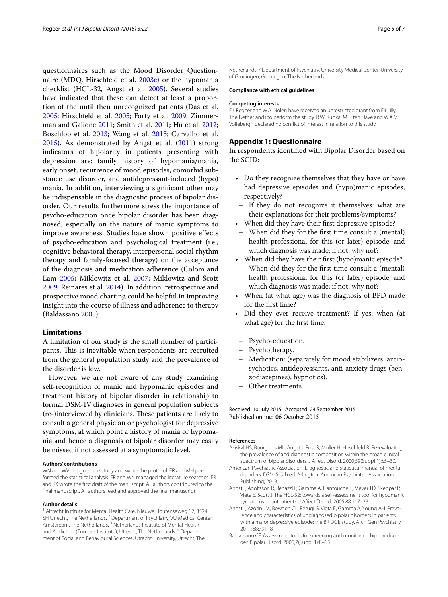questionnaires such as the Mood Disorder Questionnaire (MDQ, Hirschfeld et al. [2003c\)](#page-6-29) or the hypomania checklist (HCL-32, Angst et al. [2005](#page-5-3)). Several studies have indicated that these can detect at least a proportion of the until then unrecognized patients (Das et al. [2005](#page-6-12); Hirschfeld et al. [2005](#page-6-13); Forty et al. [2009,](#page-6-30) Zimmerman and Galione [2011](#page-6-31); Smith et al. [2011](#page-6-14); Hu et al. [2012](#page-6-32); Boschloo et al. [2013](#page-6-33); Wang et al. [2015;](#page-6-34) Carvalho et al. [2015](#page-6-35)). As demonstrated by Angst et al. ([2011\)](#page-5-4) strong indicators of bipolarity in patients presenting with depression are: family history of hypomania/mania, early onset, recurrence of mood episodes, comorbid substance use disorder, and antidepressant-induced (hypo) mania. In addition, interviewing a significant other may be indispensable in the diagnostic process of bipolar disorder. Our results furthermore stress the importance of psycho-education once bipolar disorder has been diagnosed, especially on the nature of manic symptoms to improve awareness. Studies have shown positive effects of psycho-education and psychological treatment (i.e., cognitive behavioral therapy, interpersonal social rhythm therapy and family-focused therapy) on the acceptance of the diagnosis and medication adherence (Colom and Lam [2005](#page-6-36); Miklowitz et al. [2007](#page-6-37); Miklowitz and Scott [2009](#page-6-38), Reinares et al. [2014\)](#page-6-39). In addition, retrospective and prospective mood charting could be helpful in improving insight into the course of illness and adherence to therapy (Baldassano [2005](#page-5-5)).

## **Limitations**

A limitation of our study is the small number of participants. This is inevitable when respondents are recruited from the general population study and the prevalence of the disorder is low.

However, we are not aware of any study examining self-recognition of manic and hypomanic episodes and treatment history of bipolar disorder in relationship to formal DSM-IV diagnoses in general population subjects (re-)interviewed by clinicians. These patients are likely to consult a general physician or psychologist for depressive symptoms, at which point a history of mania or hypomania and hence a diagnosis of bipolar disorder may easily be missed if not assessed at a symptomatic level.

#### **Authors' contributions**

WN and WV designed the study and wrote the protocol. ER and MH performed the statistical analysis. ER and WN managed the literature searches. ER and RK wrote the first draft of the manuscript. All authors contributed to the final manuscript. All authors read and approved the final manuscript.

#### **Author details**

<sup>1</sup> Altrecht Institute for Mental Health Care, Nieuwe Houtenseweg 12, 3524 SH Utrecht, The Netherlands. <sup>2</sup> Department of Psychiatry, VU Medical Center, Amsterdam, The Netherlands. 3 Netherlands Institute of Mental Health and Addiction (Trimbos Institute), Utrecht, The Netherlands. 4 Department of Social and Behavioural Sciences, Utrecht University, Utrecht, The

Netherlands. 5 Department of Psychiatry, University Medical Center, University of Groningen, Groningen, The Netherlands.

#### **Compliance with ethical guidelines**

#### **Competing interests**

EJ. Regeer and W.A. Nolen have received an unrestricted grant from Eli Lilly, The Netherlands to perform the study. R.W. Kupka, M.L. ten Have and W.A.M. Vollebergh declared no conflict of interest in relation to this study.

#### <span id="page-5-0"></span>**Appendix 1: Questionnaire**

In respondents identified with Bipolar Disorder based on the SCID:

- •• Do they recognize themselves that they have or have had depressive episodes and (hypo)manic episodes, respectively?
	- –– If they do not recognize it themselves: what are their explanations for their problems/symptoms?
- When did they have their first depressive episode?
- –– When did they for the first time consult a (mental) health professional for this (or later) episode; and which diagnosis was made; if not: why not?
- When did they have their first (hypo)manic episode?
- –– When did they for the first time consult a (mental) health professional for this (or later) episode; and which diagnosis was made; if not: why not?
- •• When (at what age) was the diagnosis of BPD made for the first time?
- •• Did they ever receive treatment? If yes: when (at what age) for the first time:
- Psycho-education.
- Psychotherapy.
- –– Medication: (separately for mood stabilizers, antipsychotics, antidepressants, anti-anxiety drugs (benzodiazepines), hypnotics).
- Other treatments.

Received: 10 July 2015 Accepted: 24 September 2015 Published online: 06 October 2015

#### **References**

––

- <span id="page-5-2"></span>Akiskal HS, Bourgeois ML, Angst J, Post R, Möller H, Hirschfeld R. Re-evaluating the prevalence of and diagnostic composition within the broad clinical spectrum of bipolar disorders. J Affect Disord. 2000;59(Suppl 1):S5–30.
- <span id="page-5-1"></span>American Psychiatric Association. Diagnostic and statistical manual of mental disorders: DSM-5. 5th ed. Arlington: American Psychiatric Association Publishing; 2013.
- <span id="page-5-3"></span>Angst J, Adolfsson R, Benazzi F, Gamma A, Hantouche E, Meyer TD, Skeppar P, Vieta E, Scott J. The HCL-32: towards a self-assessment tool for hypomanic symptoms in outpatients. J Affect Disord. 2005;88:217–33.
- <span id="page-5-4"></span>Angst J, Azorin JM, Bowden CL, Perugi G, Vieta E, Gamma A, Young AH. Prevalence and characteristics of undiagnosed bipolar disorders in patients with a major depressive episode: the BRIDGE study. Arch Gen Psychiatry. 2011;68:791–8.
- <span id="page-5-5"></span>Baldassano CF. Assessment tools for screening and monitoring bipolar disorder. Bipolar Disord. 2005;7(Suppl 1):8–15.